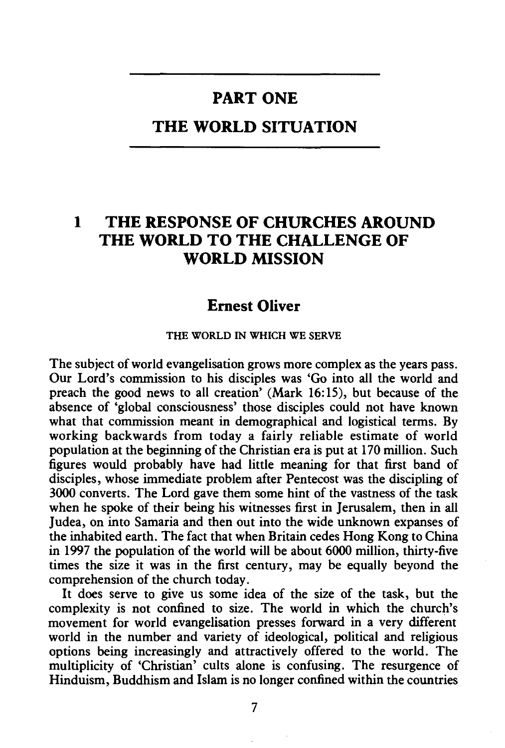# **PART ONE**

## **THE WORLD SITUATION**

# **1 THE RESPONSE OF CHURCHES AROUND THE WORLD TO THE CHALLENGE OF WORLD MISSION**

## **Emest Oliver**

#### THE WORLD IN WHICH WE SERVE

The subject of world evangelisation grows more complex as the years pass. Our Lord's commission to his disciples was 'Go into all the world and preach the good news to all creation' (Mark 16: 15), but because of the absence of 'global consciousness' those disciples could not have known what that commission meant in demographical and logistical terms. By working backwards from today a fairly reliable estimate of world population at the beginning of the Christian era is put at 170 million. Such figures would probably have had little meaning for that first band of disciples, whose immediate problem after Pentecost was the discipling of 3000 converts. The Lord gave them some hint of the vastness of the task when he spoke of their being his witnesses first in Jerusalem, then in all Judea, on into Samaria and then out into the wide unknown expanses of the inhabited earth. The fact that when Britain cedes Hong Kong to China in 1997 the population of the world will be about 6000 million, thirty-five times the size it was in the first century, may be equally beyond the comprehension of the church today.

It does serve to give us some idea of the size of the task, but the complexity is not confined to size. The world in which the church's movement for world evangelisation presses forward in a very different world in the number and variety of ideological, political and religious options being increasingly and attractively offered to the world. The multiplicity of 'Christian' cults alone is confusing. The resurgence of Hinduism, Buddhism and Islam is no longer confined within the countries

7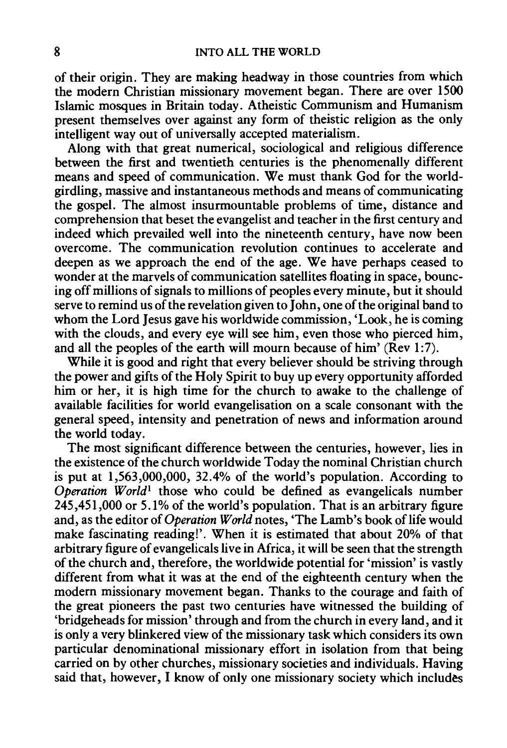of their origin. They are making headway in those countries from which the modern Christian missionary movement began. There are over 1500 Islamic mosques in Britain today. Atheistic Communism and Humanism present themselves over against any form of theistic religion as the only intelligent way out of universally accepted materialism.

Along with that great numerical, sociological and religious difference between the first and twentieth centuries is the phenomenally different means and speed of communication. We must thank God for the worldgirdling, massive and instantaneous methods and means of communicating the gospel. The almost insurmountable problems of time, distance and comprehension that beset the evangelist and teacher in the first century and indeed which prevailed well into the nineteenth century, have now been overcome. The communication revolution continues to accelerate and deepen as we approach the end of the age. We have perhaps ceased to wonder at the marvels of communication satellites floating in space, bouncing off millions of signals to millions of peoples every minute, but it should serve to remind us of the revelation given to John, one of the original band to whom the Lord Jesus gave his worldwide commission, 'Look, he is coming with the clouds, and every eye will see him, even those who pierced him, and all the peoples of the earth will mourn because of him' (Rev 1:7).

While it is good and right that every believer should be striving through the power and gifts of the Holy Spirit to buy up every opportunity afforded him or her, it is high time for the church to awake to the challenge of available facilities for world evangelisation on a scale consonant with the general speed, intensity and penetration of news and information around the world today.

The most significant difference between the centuries, however, lies in the existence of the church worldwide Today the nominal Christian church is put at 1,563,000,000, 32.4% of the world's population. According to *Operation World<sup>1</sup>* those who could be defined as evangelicals number 245,451,000 or 5.1% of the world's population. That is an arbitrary figure and, as the editor of *Operation World* notes, 'The Lamb's book of life would make fascinating reading!'. When it is estimated that about 20% of that arbitrary figure of evangelicals live in Africa, it will be seen that the strength of the church and, therefore, the worldwide potential for 'mission' is vastly different from what it was at the end of the eighteenth century when the modern missionary movement began. Thanks to the courage and faith of the great pioneers the past two centuries have witnessed the building of 'bridgeheads for mission' through and from the church in every land, and it is only a very blinkered view of the missionary task which considers its own particular denominational missionary effort in isolation from that being carried on by other churches, missionary societies and individuals. Having said that, however, I know of only one missionary society which includes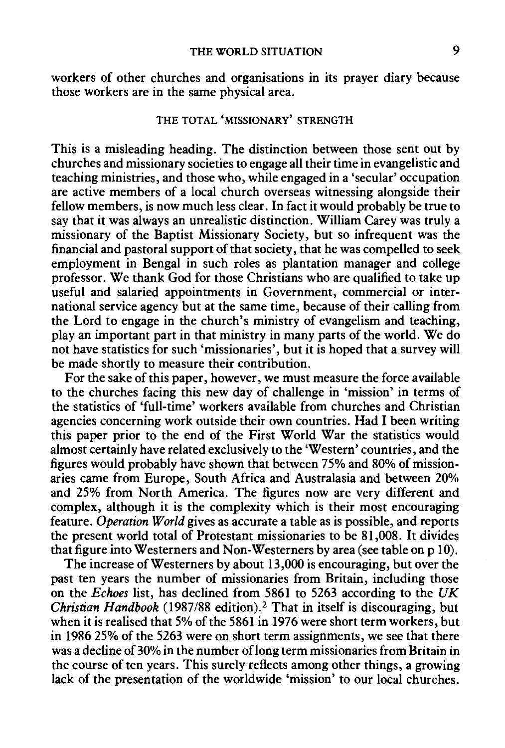workers of other churches and organisations in its prayer diary because those workers are in the same physical area.

### THE TOTAL 'MISSIONARY' STRENGTH

This is a misleading heading. The distinction between those sent out by churches and missionary societies to engage all their time in evangelistic and teaching ministries, and those who, while engaged in a 'secular' occupation are active members of a local church overseas witnessing alongside their fellow members, is now much less clear. In fact it would probably be true to say that it was always an unrealistic distinction. William Carey was truly a missionary of the Baptist Missionary Society, but so infrequent was the financial and pastoral support of that society, that he was compelled to seek employment in Bengal in such roles as plantation manager and college professor. We thank God for those Christians who are qualified to take up useful and salaried appointments in Government, commercial or international service agency but at the same time, because of their calling from the Lord to engage in the church's ministry of evangelism and teaching, play an important part in that ministry in many parts of the world. We do not have statistics for such 'missionaries', but it is hoped that a survey will be made shortly to measure their contribution.

For the sake of this paper, however, we must measure the force available to the churches facing this new day of challenge in 'mission' in terms of the statistics of 'full-time' workers available from churches and Christian agencies concerning work outside their own countries. Had I been writing this paper prior to the end of the First World War the statistics would almost certainly have related exclusively to the 'Western' countries, and the figures would probably have shown that between 75% and 80% of missionaries came from Europe, South Africa and Australasia and between 20% and 25% from North America. The figures now are very different and complex, although it is the complexity which is their most encouraging feature. *Operation World* gives as accurate a table as is possible, and reports the present world total of Protestant missionaries to be 81,008. It divides that figure into Westerners and Non-Westerners by area (see table on p 10).

The increase of Westerners by about 13,000 is encouraging, but over the past ten years the number of missionaries from Britain, including those on the *Echoes* list, has declined from 5861 to 5263 according to the *UK Christian Handbook* (1987/88 edition). 2 That in itself is discouraging, but when it is realised that 5% of the 5861 in 1976 were short term workers, but in 1986 25% of the 5263 were on short term assignments, we see that there was a decline of 30% in the number of long term missionaries from Britain in the course of ten years. This surely reflects among other things, a growing lack of the presentation of the worldwide 'mission' to our local churches.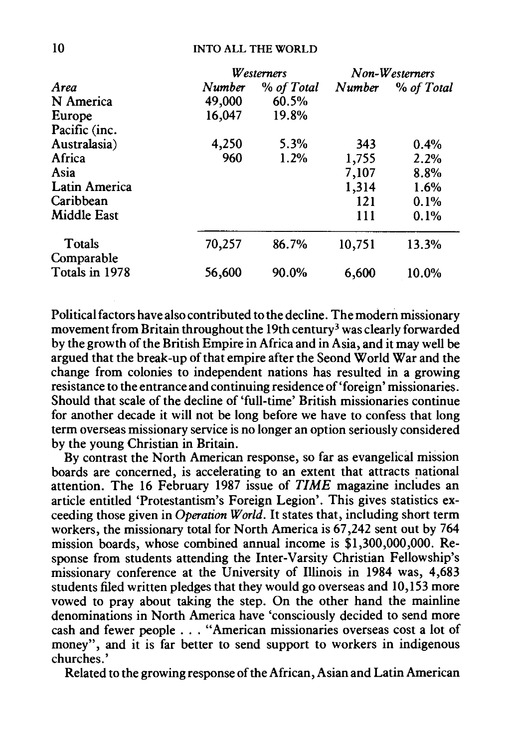|                      |        | Westerners | Non-Westerners |            |
|----------------------|--------|------------|----------------|------------|
| Area                 | Number | % of Total | Number         | % of Total |
| N America            | 49,000 | 60.5%      |                |            |
| Europe               | 16,047 | 19.8%      |                |            |
| Pacific (inc.        |        |            |                |            |
| Australasia)         | 4,250  | 5.3%       | 343            | 0.4%       |
| Africa               | 960    | 1.2%       | 1,755          | 2.2%       |
| Asia                 |        |            | 7,107          | 8.8%       |
| <b>Latin America</b> |        |            | 1,314          | 1.6%       |
| Caribbean            |        |            | 121            | 0.1%       |
| Middle East          |        |            | 111            | 0.1%       |
| Totals               | 70,257 | 86.7%      | 10,751         | 13.3%      |
| Comparable           |        |            |                |            |
| Totals in 1978       | 56,600 | 90.0%      | 6,600          | 10.0%      |

Political factors have also contributed to the decline. The modern missionary movement from Britain throughout the 19th century<sup>3</sup> was clearly forwarded by the growth of the British Empire in Africa and in Asia, and it may well be argued that the break-up of that empire after the Seond World War and the change from colonies to independent nations has resulted in a growing resistance to the entrance and continuing residence of'foreign' missionaries. Should that scale of the decline of 'full-time' British missionaries continue for another decade it will not be long before we have to confess that long term overseas missionary service is no longer an option seriously considered by the young Christian in Britain.

By contrast the North American response, so far as evangelical mission boards are concerned, is accelerating to an extent that attracts national attention. The 16 February 1987 issue of *TIME* magazine includes an article entitled 'Protestantism's Foreign Legion'. This gives statistics exceeding those given in *Operation World.* It states that, including short term workers, the missionary total for North America is 67,242 sent out by 764 mission boards, whose combined annual income is \$1,300,000,000. Response from students attending the Inter-Varsity Christian Fellowship's missionary conference at the University of Illinois in 1984 was, 4,683 students filed written pledges that they would go overseas and 10,153 more vowed to pray about taking the step. On the other hand the mainline denominations in North America have 'consciously decided to send more cash and fewer people ... "American missionaries overseas cost a lot of money", and it is far better to send support to workers in indigenous churches.'

Related to the growing response of the African, Asian and Latin American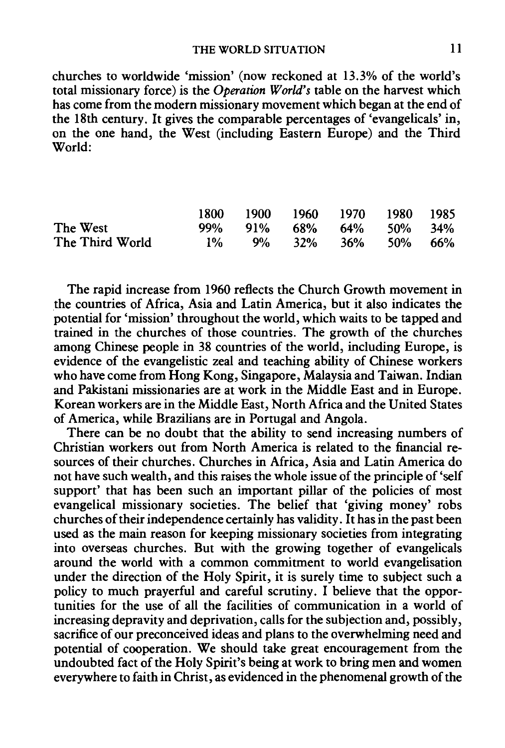### THE WORLD SITUATION 11

churches to worldwide 'mission' (now reckoned at 13.3% of the world's total missionary force) is the *Operation World's* table on the harvest which has come from the modern missionary movement which began at the end of the 18th century. It gives the comparable percentages of 'evangelicals' in, on the one hand, the West (including Eastern Europe) and the Third World:

|                 |  | 1800 1900 1960 1970 1980 1985 |  |  |
|-----------------|--|-------------------------------|--|--|
| The West        |  | 99% 91% 68% 64% 50% 34%       |  |  |
| The Third World |  | $1\%$ 9% 32% 36% 50% 66%      |  |  |

The rapid increase from 1960 reflects the Church Growth movement in the countries of Africa, Asia and Latin America, but it also indicates the potential for 'mission' throughout the world, which waits to be tapped and trained in the churches of those countries. The growth of the churches among Chinese people in 38 countries of the world, including Europe, is evidence of the evangelistic zeal and teaching ability of Chinese workers who have come from Hong Kong, Singapore, Malaysia and Taiwan. Indian and Pakistani missionaries are at work in the Middle East and in Europe. Korean workers are in the Middle East, North Africa and the United States of America, while Brazilians are in Portugal and Angola.

There can be no doubt that the ability to send increasing numbers of Christian workers out from North America is related to the financial resources of their churches. Churches in Africa, Asia and Latin America do not have such wealth, and this raises the whole issue of the principle of 'self support' that has been such an important pillar of the policies of most evangelical missionary societies. The belief that 'giving money' robs churches of their independence certainly has validity. It has in the past been used as the main reason for keeping missionary societies from integrating into overseas churches. But with the growing together of evangelicals around the world with a common commitment to world evangelisation under the direction of the Holy Spirit, it is surely time to subject such a policy to much prayerful and careful scrutiny. I believe that the opportunities for the use of all the facilities of communication in a world of increasing depravity and deprivation, calls for the subjection and, possibly, sacrifice of our preconceived ideas and plans to the overwhelming need and potential of cooperation. We should take great encouragement from the undoubted fact of the Holy Spirit's being at work to bring men and women everywhere to faith in Christ, as evidenced in the phenomenal growth of the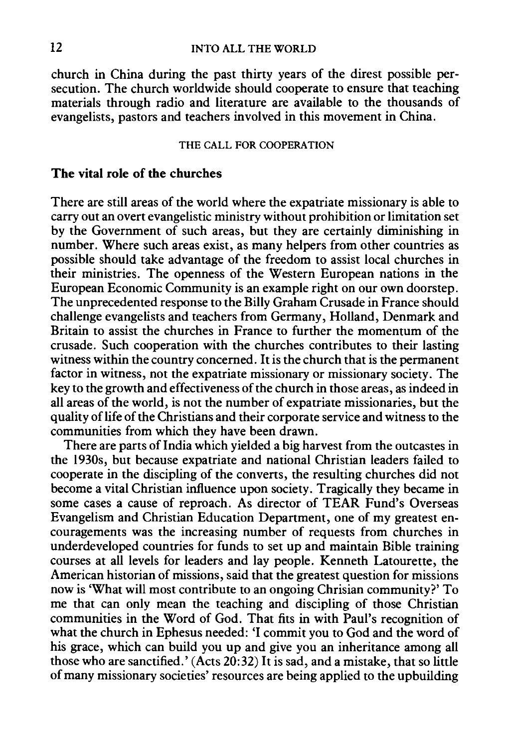church in China during the past thirty years of the direst possible persecution. The church worldwide should cooperate to ensure that teaching materials through radio and literature are available to the thousands of evangelists, pastors and teachers involved in this movement in China.

#### THE CALL FOR COOPERATION

### The vital role of the churches

There are still areas of the world where the expatriate missionary is able to carry out an overt evangelistic ministry without prohibition or limitation set by the Government of such areas, but they are certainly diminishing in number. Where such areas exist, as many helpers from other countries as possible should take advantage of the freedom to assist local churches in their ministries. The openness of the Western European nations in the European Economic Community is an example right on our own doorstep. The unprecedented response to the Billy Graham Crusade in France should challenge evangelists and teachers from Germany, Holland, Denmark and Britain to assist the churches in France to further the momentum of the crusade. Such cooperation with the churches contributes to their lasting witness within the country concerned. It is the church that is the permanent factor in witness, not the expatriate missionary or missionary society. The key to the growth and effectiveness of the church in those areas, as indeed in all areas of the world, is not the number of expatriate missionaries, but the quality of life of the Christians and their corporate service and witness to the communities from which they have been drawn.

There are parts of India which yielded a big harvest from the outcastes in the 1930s, but because expatriate and national Christian leaders failed to cooperate in the discipling of the converts, the resulting churches did not become a vital Christian influence upon society. Tragically they became in some cases a cause of reproach. As director of TEAR Fund's Overseas Evangelism and Christian Education Department, one of my greatest encouragements was the increasing number of requests from churches in underdeveloped countries for funds to set up and maintain Bible training courses at all levels for leaders and lay people. Kenneth Latourette, the American historian of missions, said that the greatest question for missions now is 'What will most contribute to an ongoing Chrisian community?' To me that can only mean the teaching and discipling of those Christian communities in the Word of God. That fits in with Paul's recognition of what the church in Ephesus needed: 'I commit you to God and the word of his grace, which can build you up and give you an inheritance among all those who are sanctified.' (Acts  $20:32$ ) It is sad, and a mistake, that so little of many missionary societies' resources are being applied to the upbuilding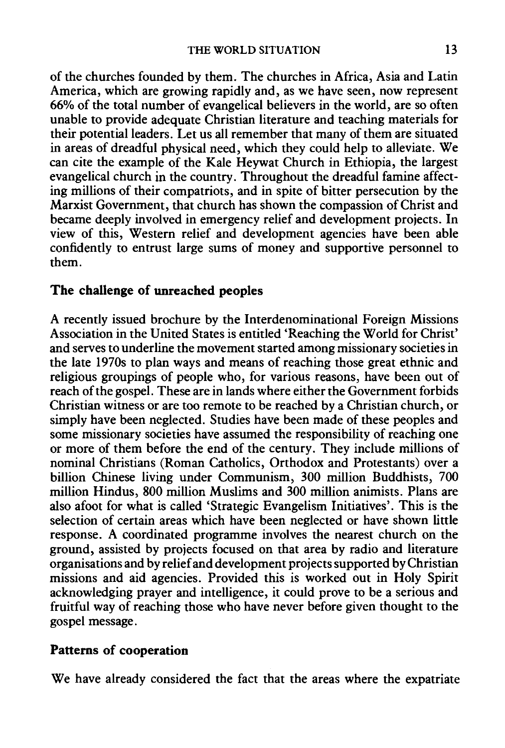of the churches founded by them. The churches in Africa, Asia and Latin America, which are growing rapidly and, as we have seen, now represent 66% of the total number of evangelical believers in the world, are so often unable to provide adequate Christian literature and teaching materials for their potential leaders. Let us all remember that many of them are situated in areas of dreadful physical need, which they could help to alleviate. We can cite the example of the Kale Heywat Church in Ethiopia, the largest evangelical church in the country. Throughout the dreadful famine affecting millions of their compatriots, and in spite of bitter persecution by the Marxist Government, that church has shown the compassion of Christ and became deeply involved in emergency relief and development projects. In view of this, Western relief and development agencies have been able confidently to entrust large sums of money and supportive personnel to them.

### **The challenge of unreached peoples**

A recently issued brochure by the Interdenominational Foreign Missions Association in the United States is entitled 'Reaching the World for Christ' and serves to underline the movement started among missionary societies in the late 1970s to plan ways and means of reaching those great ethnic and religious groupings of people who, for various reasons, have been out of reach of the gospel. These are in lands where either the Government forbids Christian witness or are too remote to be reached by a Christian church, or simply have been neglected. Studies have been made of these peoples and some missionary societies have assumed the responsibility of reaching one or more of them before the end of the century. They include millions of nominal Christians (Roman Catholics, Orthodox and Protestants) over a billion Chinese living under Communism, 300 million Buddhists, 700 million Hindus, 800 million Muslims and 300 million animists. Plans are also afoot for what is called 'Strategic Evangelism Initiatives'. This is the selection of certain areas which have been neglected or have shown little response. A coordinated programme involves the nearest church on the ground, assisted by projects focused on that area by radio and literature organisations and by relief and development projects supported by Christian missions and aid agencies. Provided this is worked out in Holy Spirit acknowledging prayer and intelligence, it could prove to be a serious and fruitful way of reaching those who have never before given thought to the gospel message.

## **Patterns of cooperation**

We have already considered the fact that the areas where the expatriate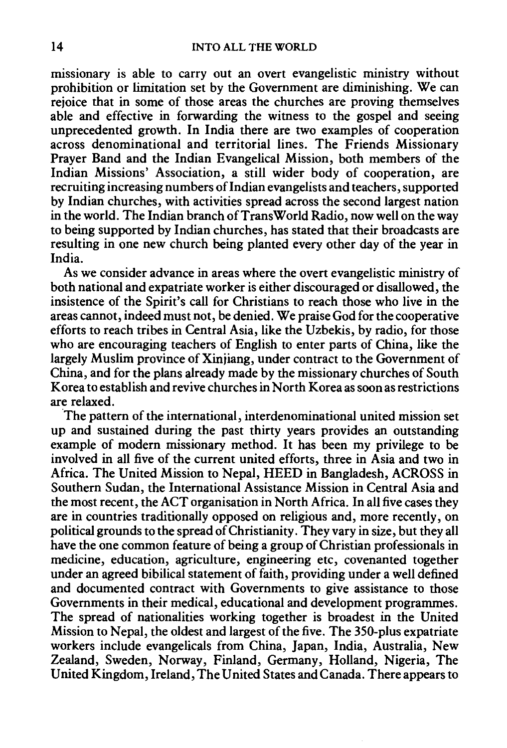missionary is able to carry out an overt evangelistic ministry without prohibition or limitation set by the Government are diminishing. We can rejoice that in some of those areas the churches are proving themselves able and effective in forwarding the witness to the gospel and seeing unprecedented growth. In India there are two examples of cooperation across denominational and territorial lines. The Friends Missionary Prayer Band and the Indian Evangelical Mission, both members of the Indian Missions' Association, a still wider body of cooperation, are recruiting increasing numbers of Indian evangelists and teachers, supported by Indian churches, with activities spread across the second largest nation in the world. The Indian branch of TransWorld Radio, now well on the way to being supported by Indian churches, has stated that their broadcasts are resulting in one new church being planted every other day of the year in India.

As we consider advance in areas where the overt evangelistic ministry of both national and expatriate worker is either discouraged or disallowed, the insistence of the Spirit's call for Christians to reach those who live in the areas cannot, indeed must not, be denied. We praise God for the cooperative efforts to reach tribes in Central Asia, like the Uzbekis, by radio, for those who are encouraging teachers of English to enter parts of China, like the largely Muslim province of Xinjiang, under contract to the Government of China, and for the plans already made by the missionary churches of South Korea to establish and revive churches in North Korea as soon as restrictions are relaxed.

The pattern of the international, interdenominational united mission set up and sustained during the past thirty years provides an outstanding example of modern missionary method. It has been my privilege to be involved in all five of the current united efforts, three in Asia and two in Africa. The United Mission to Nepal, HEED in Bangladesh, ACROSS in Southern Sudan, the International Assistance Mission in Central Asia and the most recent, the ACT organisation in North Africa. In all five cases they are in countries traditionally opposed on religious and, more recently, on political grounds to the spread of Christianity. They vary in size, but they all have the one common feature of being a group of Christian professionals in medicine, education, agriculture, engineering etc, covenanted together under an agreed bibilical statement of faith, providing under a well defined and documented contract with Governments to give assistance to those Governments in their medical, educational and development programmes. The spread of nationalities working together is broadest in the United Mission to Nepal, the oldest and largest of the five. The 350-plus expatriate workers include evangelicals from China, Japan, India, Australia, New Zealand, Sweden, Norway, Finland, Germany, Holland, Nigeria, The United Kingdom, Ireland, The United States and Canada. There appears to